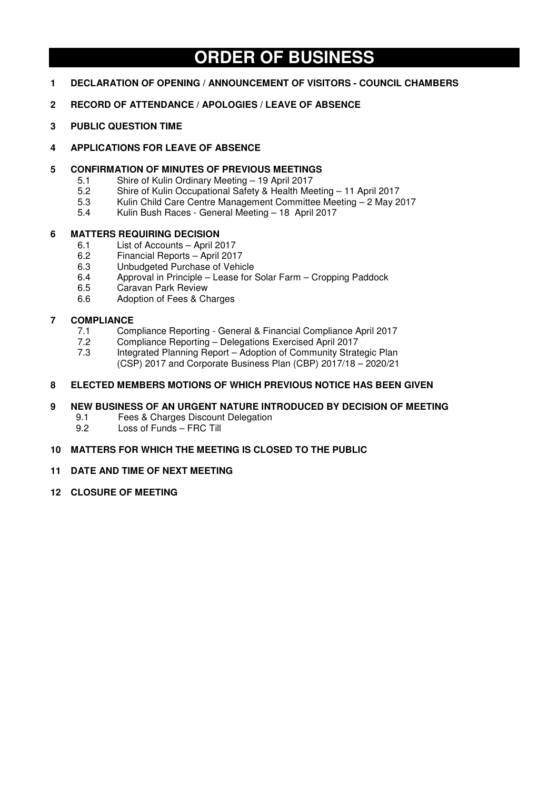# **ORDER OF BUSINESS**

- **1 DECLARATION OF OPENING / ANNOUNCEMENT OF VISITORS COUNCIL CHAMBERS**
- **2 RECORD OF ATTENDANCE / APOLOGIES / LEAVE OF ABSENCE**
- **3 PUBLIC QUESTION TIME**
- **4 APPLICATIONS FOR LEAVE OF ABSENCE**

## **5 CONFIRMATION OF MINUTES OF PREVIOUS MEETINGS**

- 5.1 Shire of Kulin Ordinary Meeting 19 April 2017<br>5.2 Shire of Kulin Occupational Safety & Health Me
- 5.2 Shire of Kulin Occupational Safety & Health Meeting 11 April 2017
- 5.3 Kulin Child Care Centre Management Committee Meeting 2 May 2017
- 5.4 Kulin Bush Races General Meeting 18 April 2017

## **6 MATTERS REQUIRING DECISION**

- 6.1 List of Accounts April 2017
- 6.2 Financial Reports April 2017
- 6.3 Unbudgeted Purchase of Vehicle<br>6.4 Approval in Principle Lease for
- 6.4 Approval in Principle Lease for Solar Farm Cropping Paddock
- 6.5 Caravan Park Review
- 6.6 Adoption of Fees & Charges

## **7 COMPLIANCE**

- 7.1 Compliance Reporting General & Financial Compliance April 2017
- 7.2 Compliance Reporting Delegations Exercised April 2017
- Integrated Planning Report Adoption of Community Strategic Plan (CSP) 2017 and Corporate Business Plan (CBP) 2017/18 – 2020/21

# **8 ELECTED MEMBERS MOTIONS OF WHICH PREVIOUS NOTICE HAS BEEN GIVEN**

## **9 NEW BUSINESS OF AN URGENT NATURE INTRODUCED BY DECISION OF MEETING**

- 9.1 Fees & Charges Discount Delegation<br>9.2 Loss of Funds FRC Till
- Loss of Funds FRC Till

## **10 MATTERS FOR WHICH THE MEETING IS CLOSED TO THE PUBLIC**

- **11 DATE AND TIME OF NEXT MEETING**
- **12 CLOSURE OF MEETING**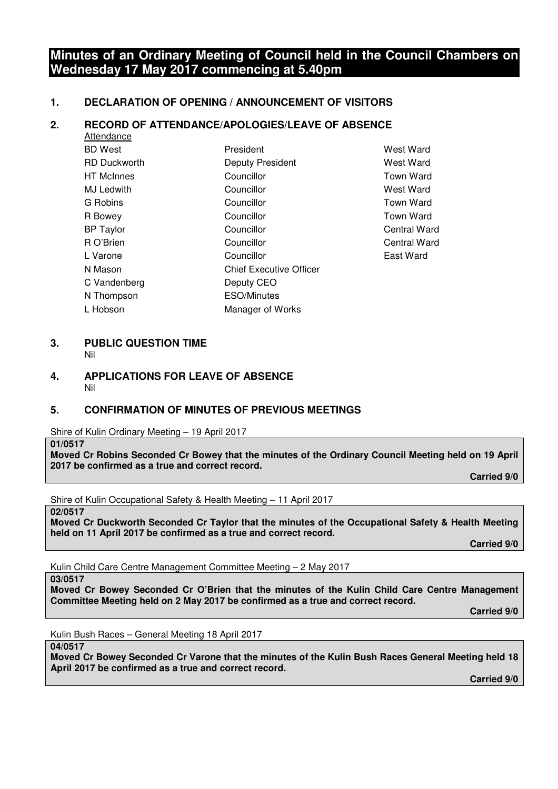# **Minutes of an Ordinary Meeting of Council held in the Council Chambers on Wednesday 17 May 2017 commencing at 5.40pm**

## **1. DECLARATION OF OPENING / ANNOUNCEMENT OF VISITORS**

## **2. RECORD OF ATTENDANCE/APOLOGIES/LEAVE OF ABSENCE**

| Attendance          |                                |                  |
|---------------------|--------------------------------|------------------|
| BD West             | President                      | <b>West Ward</b> |
| <b>RD Duckworth</b> | <b>Deputy President</b>        | West Ward        |
| HT McInnes          | Councillor                     | <b>Town Ward</b> |
| MJ Ledwith          | Councillor                     | West Ward        |
| G Robins            | Councillor                     | <b>Town Ward</b> |
| R Bowey             | Councillor                     | <b>Town Ward</b> |
| <b>BP Taylor</b>    | Councillor                     | Central Wa       |
| R O'Brien           | Councillor                     | Central Wa       |
| L Varone            | Councillor                     | East Ward        |
| N Mason             | <b>Chief Executive Officer</b> |                  |
| C Vandenberg        | Deputy CEO                     |                  |
| N Thompson          | <b>ESO/Minutes</b>             |                  |
| L Hobson            | Manager of Works               |                  |
|                     |                                |                  |

**West Ward West Ward** Town Ward West Ward Town Ward Town Ward Central Ward Central Ward

#### **3. PUBLIC QUESTION TIME**  Nil

**4. APPLICATIONS FOR LEAVE OF ABSENCE**  Nil

## **5. CONFIRMATION OF MINUTES OF PREVIOUS MEETINGS**

Shire of Kulin Ordinary Meeting – 19 April 2017

**01/0517** 

**Moved Cr Robins Seconded Cr Bowey that the minutes of the Ordinary Council Meeting held on 19 April 2017 be confirmed as a true and correct record.** 

 **Carried 9/0** 

Shire of Kulin Occupational Safety & Health Meeting – 11 April 2017

**02/0517** 

**Moved Cr Duckworth Seconded Cr Taylor that the minutes of the Occupational Safety & Health Meeting held on 11 April 2017 be confirmed as a true and correct record.** 

 **Carried 9/0** 

Kulin Child Care Centre Management Committee Meeting – 2 May 2017

#### **03/0517**

**Moved Cr Bowey Seconded Cr O'Brien that the minutes of the Kulin Child Care Centre Management Committee Meeting held on 2 May 2017 be confirmed as a true and correct record.** 

 **Carried 9/0** 

Kulin Bush Races – General Meeting 18 April 2017

#### **04/0517**

**Moved Cr Bowey Seconded Cr Varone that the minutes of the Kulin Bush Races General Meeting held 18 April 2017 be confirmed as a true and correct record.** 

 **Carried 9/0**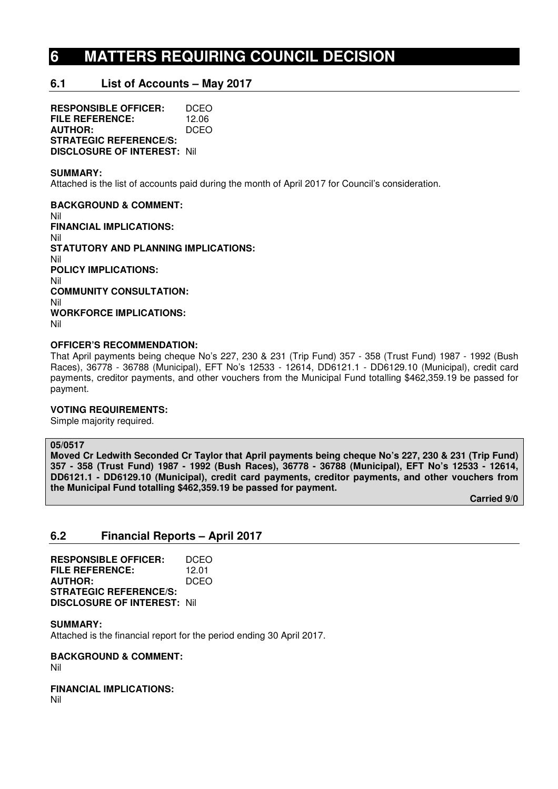# **6 MATTERS REQUIRING COUNCIL DECISION**

# **6.1 List of Accounts – May 2017**

**RESPONSIBLE OFFICER:** DCEO **FILE REFERENCE:** 12.06<br>**AUTHOR:** DCEO **AUTHOR: STRATEGIC REFERENCE/S: DISCLOSURE OF INTEREST:** Nil

#### **SUMMARY:**

Attached is the list of accounts paid during the month of April 2017 for Council's consideration.

**BACKGROUND & COMMENT:**  Nil **FINANCIAL IMPLICATIONS:**  Nil **STATUTORY AND PLANNING IMPLICATIONS:**  Nil **POLICY IMPLICATIONS:**  Nil **COMMUNITY CONSULTATION:**  Nil **WORKFORCE IMPLICATIONS:**  Nil

#### **OFFICER'S RECOMMENDATION:**

That April payments being cheque No's 227, 230 & 231 (Trip Fund) 357 - 358 (Trust Fund) 1987 - 1992 (Bush Races), 36778 - 36788 (Municipal), EFT No's 12533 - 12614, DD6121.1 - DD6129.10 (Municipal), credit card payments, creditor payments, and other vouchers from the Municipal Fund totalling \$462,359.19 be passed for payment.

#### **VOTING REQUIREMENTS:**

Simple majority required.

#### **05/0517**

**Moved Cr Ledwith Seconded Cr Taylor that April payments being cheque No's 227, 230 & 231 (Trip Fund) 357 - 358 (Trust Fund) 1987 - 1992 (Bush Races), 36778 - 36788 (Municipal), EFT No's 12533 - 12614, DD6121.1 - DD6129.10 (Municipal), credit card payments, creditor payments, and other vouchers from the Municipal Fund totalling \$462,359.19 be passed for payment.** 

 **Carried 9/0** 

## **6.2 Financial Reports – April 2017**

| <b>RESPONSIBLE OFFICER:</b>        | DCEO  |
|------------------------------------|-------|
| FILE REFERENCE:                    | 12.01 |
| <b>AUTHOR:</b>                     | DCEO  |
| <b>STRATEGIC REFERENCE/S:</b>      |       |
| <b>DISCLOSURE OF INTEREST: Nil</b> |       |

#### **SUMMARY:**

Attached is the financial report for the period ending 30 April 2017.

## **BACKGROUND & COMMENT:**

Nil

#### **FINANCIAL IMPLICATIONS:**

Nil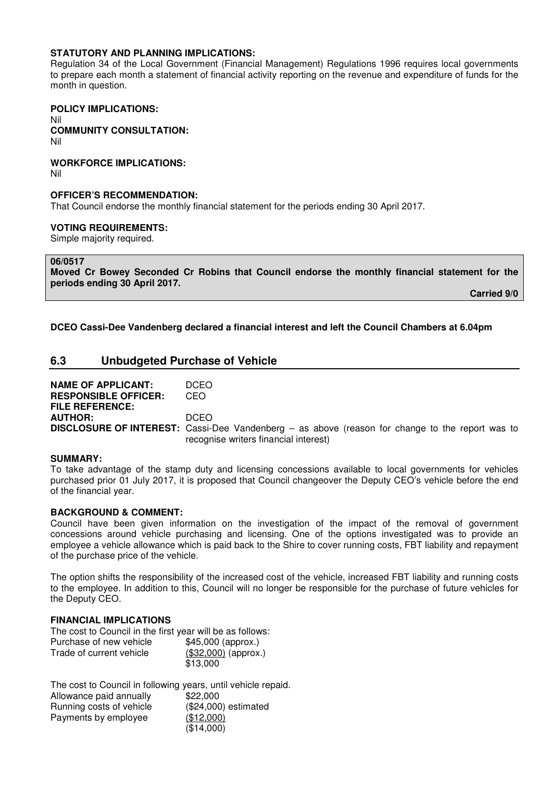#### **STATUTORY AND PLANNING IMPLICATIONS:**

Regulation 34 of the Local Government (Financial Management) Regulations 1996 requires local governments to prepare each month a statement of financial activity reporting on the revenue and expenditure of funds for the month in question.

## **POLICY IMPLICATIONS:**

Nil **COMMUNITY CONSULTATION:** 

Nil

**WORKFORCE IMPLICATIONS:** 

Nil

#### **OFFICER'S RECOMMENDATION:**

That Council endorse the monthly financial statement for the periods ending 30 April 2017.

#### **VOTING REQUIREMENTS:**

Simple majority required.

**06/0517** 

**Moved Cr Bowey Seconded Cr Robins that Council endorse the monthly financial statement for the periods ending 30 April 2017.** 

 **Carried 9/0** 

**DCEO Cassi-Dee Vandenberg declared a financial interest and left the Council Chambers at 6.04pm** 

## **6.3 Unbudgeted Purchase of Vehicle**

**NAME OF APPLICANT: DCEO<br>
RESPONSIBLE OFFICER: CEO RESPONSIBLE OFFICER: FILE REFERENCE: AUTHOR:** DCEO **DISCLOSURE OF INTEREST:** Cassi-Dee Vandenberg – as above (reason for change to the report was to recognise writers financial interest)

#### **SUMMARY:**

To take advantage of the stamp duty and licensing concessions available to local governments for vehicles purchased prior 01 July 2017, it is proposed that Council changeover the Deputy CEO's vehicle before the end of the financial year.

## **BACKGROUND & COMMENT:**

Council have been given information on the investigation of the impact of the removal of government concessions around vehicle purchasing and licensing. One of the options investigated was to provide an employee a vehicle allowance which is paid back to the Shire to cover running costs, FBT liability and repayment of the purchase price of the vehicle.

The option shifts the responsibility of the increased cost of the vehicle, increased FBT liability and running costs to the employee. In addition to this, Council will no longer be responsible for the purchase of future vehicles for the Deputy CEO.

## **FINANCIAL IMPLICATIONS**

The cost to Council in the first year will be as follows: Purchase of new vehicle \$45,000 (approx.) Trade of current vehicle (\$32,000) (approx.) \$13,000

| The cost to Council in following years, until vehicle repaid. |                      |
|---------------------------------------------------------------|----------------------|
| Allowance paid annually                                       | \$22,000             |
| Running costs of vehicle                                      | (\$24,000) estimated |
| Payments by employee                                          | (\$12,000)           |
|                                                               | (\$14,000)           |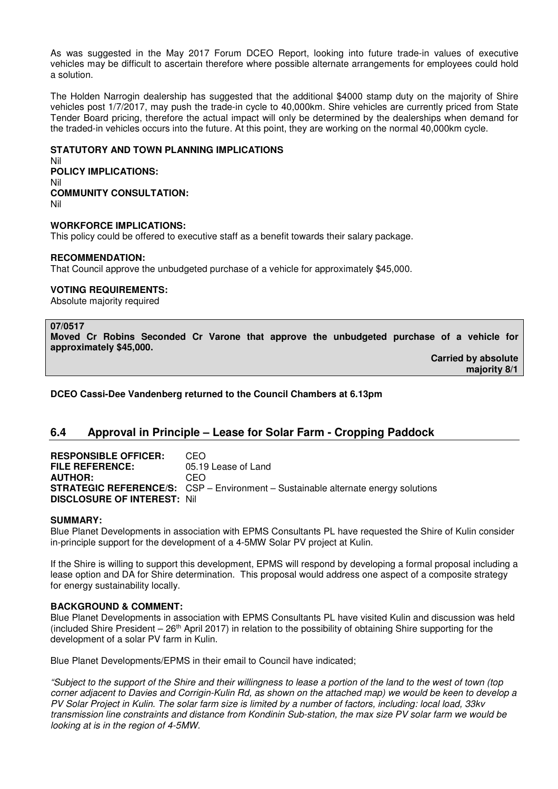As was suggested in the May 2017 Forum DCEO Report, looking into future trade-in values of executive vehicles may be difficult to ascertain therefore where possible alternate arrangements for employees could hold a solution.

The Holden Narrogin dealership has suggested that the additional \$4000 stamp duty on the majority of Shire vehicles post 1/7/2017, may push the trade-in cycle to 40,000km. Shire vehicles are currently priced from State Tender Board pricing, therefore the actual impact will only be determined by the dealerships when demand for the traded-in vehicles occurs into the future. At this point, they are working on the normal 40,000km cycle.

## **STATUTORY AND TOWN PLANNING IMPLICATIONS**

Nil **POLICY IMPLICATIONS:** Nil **COMMUNITY CONSULTATION:** Nil

#### **WORKFORCE IMPLICATIONS:**

This policy could be offered to executive staff as a benefit towards their salary package.

#### **RECOMMENDATION:**

That Council approve the unbudgeted purchase of a vehicle for approximately \$45,000.

## **VOTING REQUIREMENTS:**

Absolute majority required

#### **07/0517**

**Moved Cr Robins Seconded Cr Varone that approve the unbudgeted purchase of a vehicle for approximately \$45,000.** 

> **Carried by absolute majority 8/1**

**DCEO Cassi-Dee Vandenberg returned to the Council Chambers at 6.13pm** 

## **6.4 Approval in Principle – Lease for Solar Farm - Cropping Paddock**

**RESPONSIBLE OFFICER:** CEO<br>**FILE REFERENCE:** 05.19 05.19 Lease of Land **AUTHOR:** CEO **STRATEGIC REFERENCE/S:** CSP – Environment – Sustainable alternate energy solutions **DISCLOSURE OF INTEREST:** Nil

#### **SUMMARY:**

Blue Planet Developments in association with EPMS Consultants PL have requested the Shire of Kulin consider in-principle support for the development of a 4-5MW Solar PV project at Kulin.

If the Shire is willing to support this development, EPMS will respond by developing a formal proposal including a lease option and DA for Shire determination. This proposal would address one aspect of a composite strategy for energy sustainability locally.

#### **BACKGROUND & COMMENT:**

Blue Planet Developments in association with EPMS Consultants PL have visited Kulin and discussion was held (included Shire President  $-26$ <sup>th</sup> April 2017) in relation to the possibility of obtaining Shire supporting for the development of a solar PV farm in Kulin.

Blue Planet Developments/EPMS in their email to Council have indicated;

*"Subject to the support of the Shire and their willingness to lease a portion of the land to the west of town (top corner adjacent to Davies and Corrigin-Kulin Rd, as shown on the attached map) we would be keen to develop a PV Solar Project in Kulin. The solar farm size is limited by a number of factors, including: local load, 33kv transmission line constraints and distance from Kondinin Sub-station, the max size PV solar farm we would be looking at is in the region of 4-5MW.*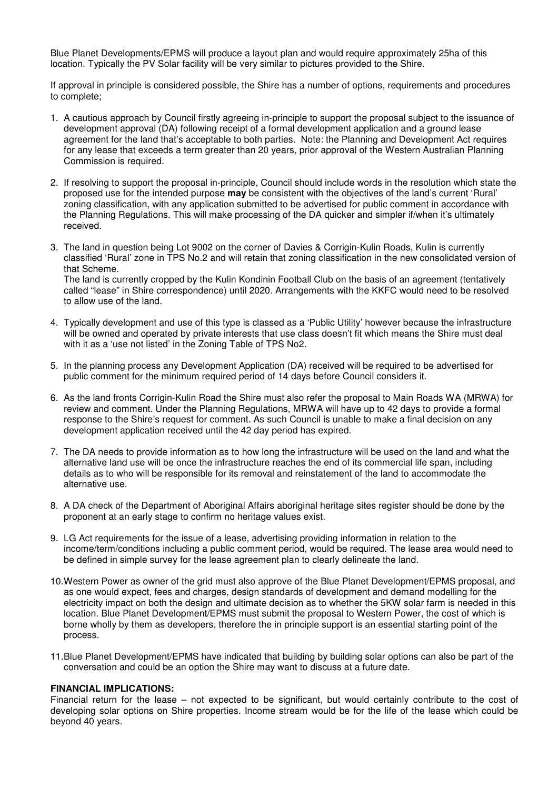Blue Planet Developments/EPMS will produce a layout plan and would require approximately 25ha of this location. Typically the PV Solar facility will be very similar to pictures provided to the Shire.

If approval in principle is considered possible, the Shire has a number of options, requirements and procedures to complete;

- 1. A cautious approach by Council firstly agreeing in-principle to support the proposal subject to the issuance of development approval (DA) following receipt of a formal development application and a ground lease agreement for the land that's acceptable to both parties. Note: the Planning and Development Act requires for any lease that exceeds a term greater than 20 years, prior approval of the Western Australian Planning Commission is required.
- 2. If resolving to support the proposal in-principle, Council should include words in the resolution which state the proposed use for the intended purpose **may** be consistent with the objectives of the land's current 'Rural' zoning classification, with any application submitted to be advertised for public comment in accordance with the Planning Regulations. This will make processing of the DA quicker and simpler if/when it's ultimately received.
- 3. The land in question being Lot 9002 on the corner of Davies & Corrigin-Kulin Roads, Kulin is currently classified 'Rural' zone in TPS No.2 and will retain that zoning classification in the new consolidated version of that Scheme. The land is currently cropped by the Kulin Kondinin Football Club on the basis of an agreement (tentatively

called "lease" in Shire correspondence) until 2020. Arrangements with the KKFC would need to be resolved to allow use of the land.

- 4. Typically development and use of this type is classed as a 'Public Utility' however because the infrastructure will be owned and operated by private interests that use class doesn't fit which means the Shire must deal with it as a 'use not listed' in the Zoning Table of TPS No2.
- 5. In the planning process any Development Application (DA) received will be required to be advertised for public comment for the minimum required period of 14 days before Council considers it.
- 6. As the land fronts Corrigin-Kulin Road the Shire must also refer the proposal to Main Roads WA (MRWA) for review and comment. Under the Planning Regulations, MRWA will have up to 42 days to provide a formal response to the Shire's request for comment. As such Council is unable to make a final decision on any development application received until the 42 day period has expired.
- 7. The DA needs to provide information as to how long the infrastructure will be used on the land and what the alternative land use will be once the infrastructure reaches the end of its commercial life span, including details as to who will be responsible for its removal and reinstatement of the land to accommodate the alternative use.
- 8. A DA check of the Department of Aboriginal Affairs aboriginal heritage sites register should be done by the proponent at an early stage to confirm no heritage values exist.
- 9. LG Act requirements for the issue of a lease, advertising providing information in relation to the income/term/conditions including a public comment period, would be required. The lease area would need to be defined in simple survey for the lease agreement plan to clearly delineate the land.
- 10. Western Power as owner of the grid must also approve of the Blue Planet Development/EPMS proposal, and as one would expect, fees and charges, design standards of development and demand modelling for the electricity impact on both the design and ultimate decision as to whether the 5KW solar farm is needed in this location. Blue Planet Development/EPMS must submit the proposal to Western Power, the cost of which is borne wholly by them as developers, therefore the in principle support is an essential starting point of the process.
- 11. Blue Planet Development/EPMS have indicated that building by building solar options can also be part of the conversation and could be an option the Shire may want to discuss at a future date.

#### **FINANCIAL IMPLICATIONS:**

Financial return for the lease – not expected to be significant, but would certainly contribute to the cost of developing solar options on Shire properties. Income stream would be for the life of the lease which could be beyond 40 years.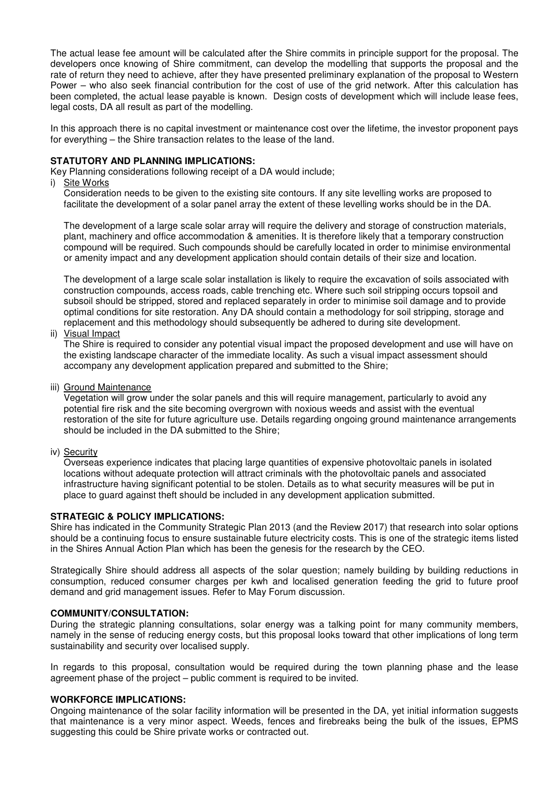The actual lease fee amount will be calculated after the Shire commits in principle support for the proposal. The developers once knowing of Shire commitment, can develop the modelling that supports the proposal and the rate of return they need to achieve, after they have presented preliminary explanation of the proposal to Western Power – who also seek financial contribution for the cost of use of the grid network. After this calculation has been completed, the actual lease payable is known. Design costs of development which will include lease fees, legal costs, DA all result as part of the modelling.

In this approach there is no capital investment or maintenance cost over the lifetime, the investor proponent pays for everything – the Shire transaction relates to the lease of the land.

#### **STATUTORY AND PLANNING IMPLICATIONS:**

Key Planning considerations following receipt of a DA would include;

i) Site Works

Consideration needs to be given to the existing site contours. If any site levelling works are proposed to facilitate the development of a solar panel array the extent of these levelling works should be in the DA.

The development of a large scale solar array will require the delivery and storage of construction materials, plant, machinery and office accommodation & amenities. It is therefore likely that a temporary construction compound will be required. Such compounds should be carefully located in order to minimise environmental or amenity impact and any development application should contain details of their size and location.

The development of a large scale solar installation is likely to require the excavation of soils associated with construction compounds, access roads, cable trenching etc. Where such soil stripping occurs topsoil and subsoil should be stripped, stored and replaced separately in order to minimise soil damage and to provide optimal conditions for site restoration. Any DA should contain a methodology for soil stripping, storage and replacement and this methodology should subsequently be adhered to during site development.

ii) Visual Impact

The Shire is required to consider any potential visual impact the proposed development and use will have on the existing landscape character of the immediate locality. As such a visual impact assessment should accompany any development application prepared and submitted to the Shire;

iii) Ground Maintenance

Vegetation will grow under the solar panels and this will require management, particularly to avoid any potential fire risk and the site becoming overgrown with noxious weeds and assist with the eventual restoration of the site for future agriculture use. Details regarding ongoing ground maintenance arrangements should be included in the DA submitted to the Shire;

#### iv) Security

Overseas experience indicates that placing large quantities of expensive photovoltaic panels in isolated locations without adequate protection will attract criminals with the photovoltaic panels and associated infrastructure having significant potential to be stolen. Details as to what security measures will be put in place to guard against theft should be included in any development application submitted.

#### **STRATEGIC & POLICY IMPLICATIONS:**

Shire has indicated in the Community Strategic Plan 2013 (and the Review 2017) that research into solar options should be a continuing focus to ensure sustainable future electricity costs. This is one of the strategic items listed in the Shires Annual Action Plan which has been the genesis for the research by the CEO.

Strategically Shire should address all aspects of the solar question; namely building by building reductions in consumption, reduced consumer charges per kwh and localised generation feeding the grid to future proof demand and grid management issues. Refer to May Forum discussion.

#### **COMMUNITY/CONSULTATION:**

During the strategic planning consultations, solar energy was a talking point for many community members, namely in the sense of reducing energy costs, but this proposal looks toward that other implications of long term sustainability and security over localised supply.

In regards to this proposal, consultation would be required during the town planning phase and the lease agreement phase of the project – public comment is required to be invited.

#### **WORKFORCE IMPLICATIONS:**

Ongoing maintenance of the solar facility information will be presented in the DA, yet initial information suggests that maintenance is a very minor aspect. Weeds, fences and firebreaks being the bulk of the issues, EPMS suggesting this could be Shire private works or contracted out.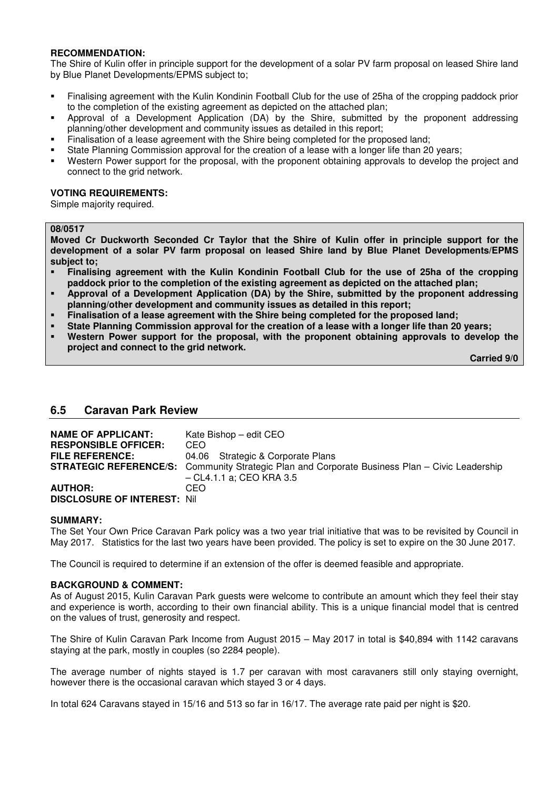## **RECOMMENDATION:**

The Shire of Kulin offer in principle support for the development of a solar PV farm proposal on leased Shire land by Blue Planet Developments/EPMS subject to;

- Finalising agreement with the Kulin Kondinin Football Club for the use of 25ha of the cropping paddock prior to the completion of the existing agreement as depicted on the attached plan;
- Approval of a Development Application (DA) by the Shire, submitted by the proponent addressing planning/other development and community issues as detailed in this report;
- Finalisation of a lease agreement with the Shire being completed for the proposed land;
- State Planning Commission approval for the creation of a lease with a longer life than 20 years;
- Western Power support for the proposal, with the proponent obtaining approvals to develop the project and connect to the grid network.

#### **VOTING REQUIREMENTS:**

Simple majority required.

#### **08/0517**

**Moved Cr Duckworth Seconded Cr Taylor that the Shire of Kulin offer in principle support for the development of a solar PV farm proposal on leased Shire land by Blue Planet Developments/EPMS subject to;** 

- **Finalising agreement with the Kulin Kondinin Football Club for the use of 25ha of the cropping paddock prior to the completion of the existing agreement as depicted on the attached plan;**
- **Approval of a Development Application (DA) by the Shire, submitted by the proponent addressing planning/other development and community issues as detailed in this report;**
- **Finalisation of a lease agreement with the Shire being completed for the proposed land;**
- **State Planning Commission approval for the creation of a lease with a longer life than 20 years;**
- **Western Power support for the proposal, with the proponent obtaining approvals to develop the project and connect to the grid network.**

 **Carried 9/0** 

## **6.5 Caravan Park Review**

| <b>NAME OF APPLICANT:</b><br><b>RESPONSIBLE OFFICER:</b><br><b>FILE REFERENCE:</b> | Kate Bishop – edit CEO<br>CEO.<br>04.06 Strategic & Corporate Plans<br><b>STRATEGIC REFERENCE/S:</b> Community Strategic Plan and Corporate Business Plan – Civic Leadership<br>– CL4.1.1 a: CEO KRA 3.5 |
|------------------------------------------------------------------------------------|----------------------------------------------------------------------------------------------------------------------------------------------------------------------------------------------------------|
| <b>AUTHOR:</b><br><b>DISCLOSURE OF INTEREST: Nil</b>                               | CEO.                                                                                                                                                                                                     |

#### **SUMMARY:**

The Set Your Own Price Caravan Park policy was a two year trial initiative that was to be revisited by Council in May 2017. Statistics for the last two years have been provided. The policy is set to expire on the 30 June 2017.

The Council is required to determine if an extension of the offer is deemed feasible and appropriate.

#### **BACKGROUND & COMMENT:**

As of August 2015, Kulin Caravan Park guests were welcome to contribute an amount which they feel their stay and experience is worth, according to their own financial ability. This is a unique financial model that is centred on the values of trust, generosity and respect.

The Shire of Kulin Caravan Park Income from August 2015 – May 2017 in total is \$40,894 with 1142 caravans staying at the park, mostly in couples (so 2284 people).

The average number of nights stayed is 1.7 per caravan with most caravaners still only staying overnight, however there is the occasional caravan which stayed 3 or 4 days.

In total 624 Caravans stayed in 15/16 and 513 so far in 16/17. The average rate paid per night is \$20.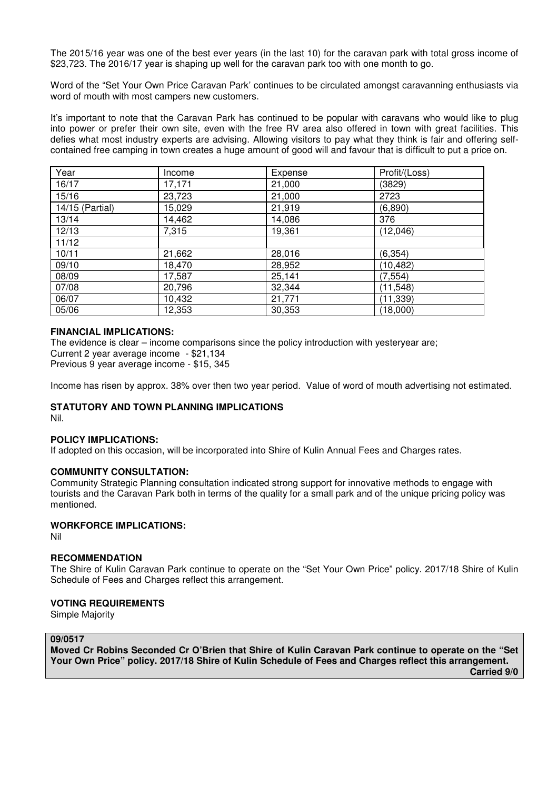The 2015/16 year was one of the best ever years (in the last 10) for the caravan park with total gross income of \$23,723. The 2016/17 year is shaping up well for the caravan park too with one month to go.

Word of the "Set Your Own Price Caravan Park' continues to be circulated amongst caravanning enthusiasts via word of mouth with most campers new customers.

It's important to note that the Caravan Park has continued to be popular with caravans who would like to plug into power or prefer their own site, even with the free RV area also offered in town with great facilities. This defies what most industry experts are advising. Allowing visitors to pay what they think is fair and offering selfcontained free camping in town creates a huge amount of good will and favour that is difficult to put a price on.

| Year            | Income | Expense | Profit/(Loss) |
|-----------------|--------|---------|---------------|
| 16/17           | 17,171 | 21,000  | (3829)        |
| 15/16           | 23,723 | 21,000  | 2723          |
| 14/15 (Partial) | 15,029 | 21,919  | (6,890)       |
| 13/14           | 14,462 | 14,086  | 376           |
| 12/13           | 7,315  | 19,361  | (12,046)      |
| 11/12           |        |         |               |
| 10/11           | 21,662 | 28,016  | (6, 354)      |
| 09/10           | 18,470 | 28,952  | (10, 482)     |
| 08/09           | 17,587 | 25,141  | (7, 554)      |
| 07/08           | 20,796 | 32,344  | (11, 548)     |
| 06/07           | 10,432 | 21,771  | (11, 339)     |
| 05/06           | 12,353 | 30,353  | (18,000)      |

#### **FINANCIAL IMPLICATIONS:**

The evidence is clear – income comparisons since the policy introduction with yesteryear are; Current 2 year average income - \$21,134 Previous 9 year average income - \$15, 345

Income has risen by approx. 38% over then two year period. Value of word of mouth advertising not estimated.

## **STATUTORY AND TOWN PLANNING IMPLICATIONS**

Nil.

## **POLICY IMPLICATIONS:**

If adopted on this occasion, will be incorporated into Shire of Kulin Annual Fees and Charges rates.

## **COMMUNITY CONSULTATION:**

Community Strategic Planning consultation indicated strong support for innovative methods to engage with tourists and the Caravan Park both in terms of the quality for a small park and of the unique pricing policy was mentioned.

## **WORKFORCE IMPLICATIONS:**

Nil

## **RECOMMENDATION**

The Shire of Kulin Caravan Park continue to operate on the "Set Your Own Price" policy. 2017/18 Shire of Kulin Schedule of Fees and Charges reflect this arrangement.

#### **VOTING REQUIREMENTS**

Simple Majority

#### **09/0517**

**Moved Cr Robins Seconded Cr O'Brien that Shire of Kulin Caravan Park continue to operate on the "Set Your Own Price" policy. 2017/18 Shire of Kulin Schedule of Fees and Charges reflect this arrangement.** 

 **Carried 9/0**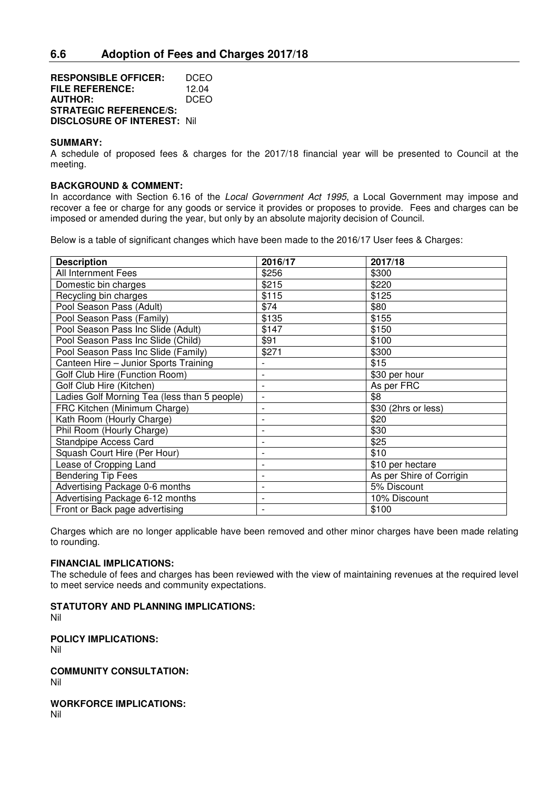**RESPONSIBLE OFFICER:** DCEO **FILE REFERENCE:** 12.04 **AUTHOR:** DCEO **STRATEGIC REFERENCE/S: DISCLOSURE OF INTEREST:** Nil

#### **SUMMARY:**

A schedule of proposed fees & charges for the 2017/18 financial year will be presented to Council at the meeting.

#### **BACKGROUND & COMMENT:**

In accordance with Section 6.16 of the *Local Government Act 1995*, a Local Government may impose and recover a fee or charge for any goods or service it provides or proposes to provide. Fees and charges can be imposed or amended during the year, but only by an absolute majority decision of Council.

Below is a table of significant changes which have been made to the 2016/17 User fees & Charges:

| <b>Description</b>                           | 2016/17                  | 2017/18                  |
|----------------------------------------------|--------------------------|--------------------------|
| All Internment Fees                          | \$256                    | \$300                    |
| Domestic bin charges                         | \$215                    | \$220                    |
| Recycling bin charges                        | \$115                    | \$125                    |
| Pool Season Pass (Adult)                     | \$74                     | \$80                     |
| Pool Season Pass (Family)                    | \$135                    | \$155                    |
| Pool Season Pass Inc Slide (Adult)           | \$147                    | \$150                    |
| Pool Season Pass Inc Slide (Child)           | \$91                     | \$100                    |
| Pool Season Pass Inc Slide (Family)          | \$271                    | \$300                    |
| Canteen Hire - Junior Sports Training        |                          | \$15                     |
| Golf Club Hire (Function Room)               | $\overline{\phantom{a}}$ | \$30 per hour            |
| Golf Club Hire (Kitchen)                     | $\overline{\phantom{0}}$ | As per FRC               |
| Ladies Golf Morning Tea (less than 5 people) | $\overline{\phantom{a}}$ | \$8                      |
| FRC Kitchen (Minimum Charge)                 | $\overline{\phantom{0}}$ | \$30 (2hrs or less)      |
| Kath Room (Hourly Charge)                    |                          | \$20                     |
| Phil Room (Hourly Charge)                    | $\overline{a}$           | \$30                     |
| <b>Standpipe Access Card</b>                 |                          | \$25                     |
| Squash Court Hire (Per Hour)                 |                          | \$10                     |
| Lease of Cropping Land                       |                          | \$10 per hectare         |
| <b>Bendering Tip Fees</b>                    | $\overline{\phantom{0}}$ | As per Shire of Corrigin |
| Advertising Package 0-6 months               | $\overline{\phantom{0}}$ | 5% Discount              |
| Advertising Package 6-12 months              | $\overline{\phantom{0}}$ | 10% Discount             |
| Front or Back page advertising               |                          | \$100                    |

Charges which are no longer applicable have been removed and other minor charges have been made relating to rounding.

## **FINANCIAL IMPLICATIONS:**

The schedule of fees and charges has been reviewed with the view of maintaining revenues at the required level to meet service needs and community expectations.

**STATUTORY AND PLANNING IMPLICATIONS:** 

Nil

#### **POLICY IMPLICATIONS:**

Nil

**COMMUNITY CONSULTATION:**

Nil

**WORKFORCE IMPLICATIONS:**

Nil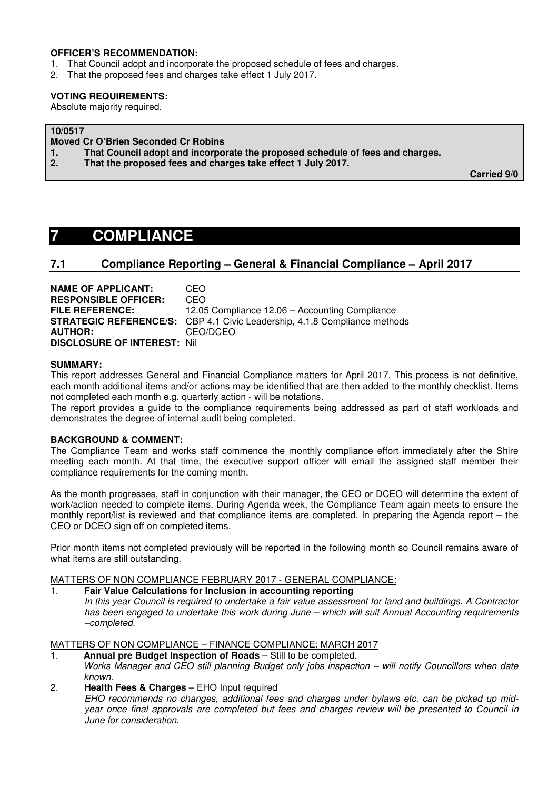#### **OFFICER'S RECOMMENDATION:**

- 1. That Council adopt and incorporate the proposed schedule of fees and charges.
- 2. That the proposed fees and charges take effect 1 July 2017.

#### **VOTING REQUIREMENTS:**

Absolute majority required.

## **10/0517**

- **Moved Cr O'Brien Seconded Cr Robins**
- **1. That Council adopt and incorporate the proposed schedule of fees and charges.**
- **2. That the proposed fees and charges take effect 1 July 2017.**

 **Carried 9/0** 

# **7 COMPLIANCE**

## **7.1 Compliance Reporting – General & Financial Compliance – April 2017**

| <b>NAME OF APPLICANT:</b>          | CEO.                                                                             |
|------------------------------------|----------------------------------------------------------------------------------|
| <b>RESPONSIBLE OFFICER:</b>        | CEO                                                                              |
| <b>FILE REFERENCE:</b>             | 12.05 Compliance 12.06 – Accounting Compliance                                   |
|                                    | <b>STRATEGIC REFERENCE/S:</b> CBP 4.1 Civic Leadership, 4.1.8 Compliance methods |
| <b>AUTHOR:</b>                     | CEO/DCEO                                                                         |
| <b>DISCLOSURE OF INTEREST: Nil</b> |                                                                                  |

#### **SUMMARY:**

This report addresses General and Financial Compliance matters for April 2017. This process is not definitive, each month additional items and/or actions may be identified that are then added to the monthly checklist. Items not completed each month e.g. quarterly action - will be notations.

The report provides a guide to the compliance requirements being addressed as part of staff workloads and demonstrates the degree of internal audit being completed.

## **BACKGROUND & COMMENT:**

The Compliance Team and works staff commence the monthly compliance effort immediately after the Shire meeting each month. At that time, the executive support officer will email the assigned staff member their compliance requirements for the coming month.

As the month progresses, staff in conjunction with their manager, the CEO or DCEO will determine the extent of work/action needed to complete items. During Agenda week, the Compliance Team again meets to ensure the monthly report/list is reviewed and that compliance items are completed. In preparing the Agenda report – the CEO or DCEO sign off on completed items.

Prior month items not completed previously will be reported in the following month so Council remains aware of what items are still outstanding.

MATTERS OF NON COMPLIANCE FEBRUARY 2017 - GENERAL COMPLIANCE:

1. **Fair Value Calculations for Inclusion in accounting reporting**  *In this year Council is required to undertake a fair value assessment for land and buildings. A Contractor has been engaged to undertake this work during June – which will suit Annual Accounting requirements –completed.* 

MATTERS OF NON COMPLIANCE – FINANCE COMPLIANCE: MARCH 2017

- 1. **Annual pre Budget Inspection of Roads** Still to be completed. *Works Manager and CEO still planning Budget only jobs inspection – will notify Councillors when date known.*
- 2. **Health Fees & Charges** EHO Input required

*EHO recommends no changes, additional fees and charges under bylaws etc. can be picked up midyear once final approvals are completed but fees and charges review will be presented to Council in June for consideration.*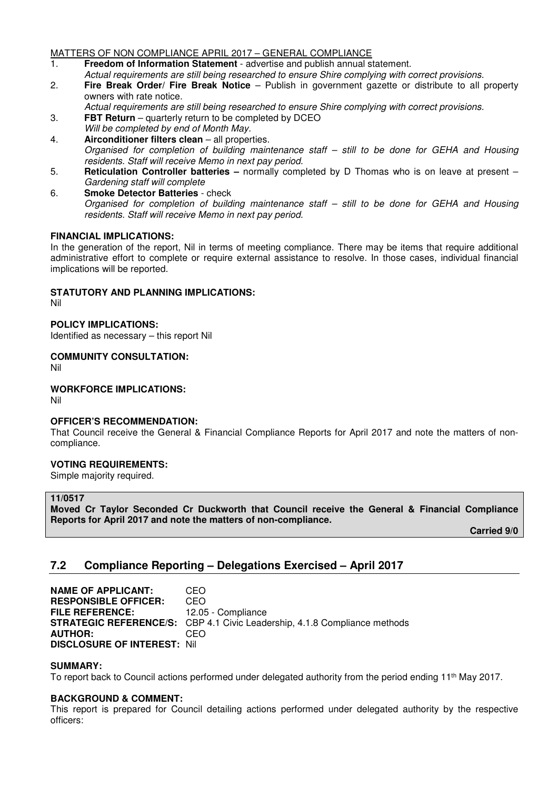## MATTERS OF NON COMPLIANCE APRIL 2017 – GENERAL COMPLIANCE

- 1. **Freedom of Information Statement** advertise and publish annual statement. *Actual requirements are still being researched to ensure Shire complying with correct provisions.*
- 2. **Fire Break Order/ Fire Break Notice** Publish in government gazette or distribute to all property owners with rate notice.
	- *Actual requirements are still being researched to ensure Shire complying with correct provisions.*
- 3. **FBT Return** quarterly return to be completed by DCEO  *Will be completed by end of Month May.*
- 4. **Airconditioner filters clean**  all properties. *Organised for completion of building maintenance staff – still to be done for GEHA and Housing residents. Staff will receive Memo in next pay period.*
- 5. **Reticulation Controller batteries** normally completed by D Thomas who is on leave at present *Gardening staff will complete*
- 6. **Smoke Detector Batteries**  check *Organised for completion of building maintenance staff – still to be done for GEHA and Housing residents. Staff will receive Memo in next pay period.*

## **FINANCIAL IMPLICATIONS:**

In the generation of the report, Nil in terms of meeting compliance. There may be items that require additional administrative effort to complete or require external assistance to resolve. In those cases, individual financial implications will be reported.

## **STATUTORY AND PLANNING IMPLICATIONS:**

Nil

#### **POLICY IMPLICATIONS:**

Identified as necessary – this report Nil

# **COMMUNITY CONSULTATION:**

Nil

#### **WORKFORCE IMPLICATIONS:**

Nil

## **OFFICER'S RECOMMENDATION:**

That Council receive the General & Financial Compliance Reports for April 2017 and note the matters of noncompliance.

## **VOTING REQUIREMENTS:**

Simple majority required.

#### **11/0517**

**Moved Cr Taylor Seconded Cr Duckworth that Council receive the General & Financial Compliance Reports for April 2017 and note the matters of non-compliance.** 

 **Carried 9/0** 

# **7.2 Compliance Reporting – Delegations Exercised – April 2017**

**NAME OF APPLICANT:** CEO **RESPONSIBLE OFFICER:** CEO **FILE REFERENCE:** 12.05 - Compliance **STRATEGIC REFERENCE/S:** CBP 4.1 Civic Leadership, 4.1.8 Compliance methods **AUTHOR:** CEO **DISCLOSURE OF INTEREST:** Nil

#### **SUMMARY:**

To report back to Council actions performed under delegated authority from the period ending 11th May 2017.

## **BACKGROUND & COMMENT:**

This report is prepared for Council detailing actions performed under delegated authority by the respective officers: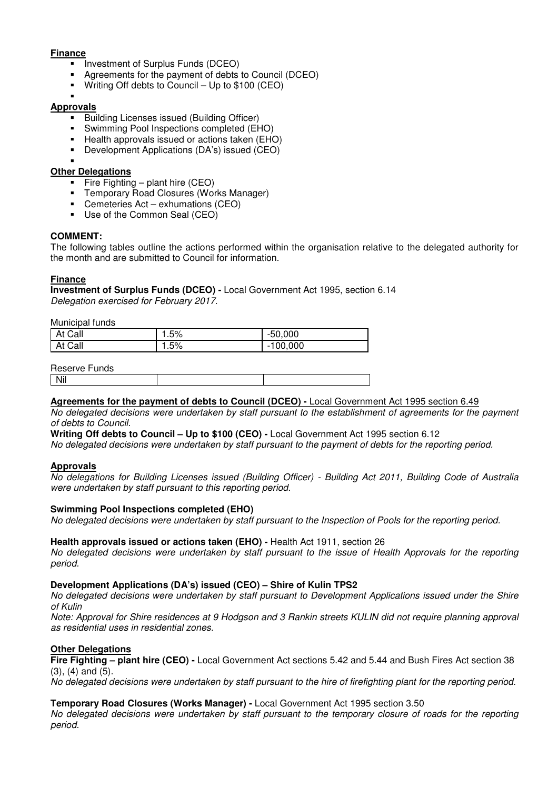## **Finance**

- **Investment of Surplus Funds (DCEO)**
- Agreements for the payment of debts to Council (DCEO)
- Writing Off debts to Council Up to \$100 (CEO)

#### ×, **Approvals**

- **Building Licenses issued (Building Officer)**
- Swimming Pool Inspections completed (EHO)
- Health approvals issued or actions taken (EHO)
- Development Applications (DA's) issued (CEO)
- ×,

## **Other Delegations**

- Fire Fighting plant hire  $(CEO)$
- Temporary Road Closures (Works Manager)
- Cemeteries Act exhumations (CEO)
- Use of the Common Seal (CEO)

## **COMMENT:**

The following tables outline the actions performed within the organisation relative to the delegated authority for the month and are submitted to Council for information.

## **Finance**

**Investment of Surplus Funds (DCEO) -** Local Government Act 1995, section 6.14 *Delegation exercised for February 2017.* 

Municipal funds

| At Call | . .5% | $-50,000$  |
|---------|-------|------------|
| At Call | 5%،،  | $-100,000$ |

#### Reserve Funds

## **Agreements for the payment of debts to Council (DCEO) -** Local Government Act 1995 section 6.49

*No delegated decisions were undertaken by staff pursuant to the establishment of agreements for the payment of debts to Council.* 

**Writing Off debts to Council – Up to \$100 (CEO) -** Local Government Act 1995 section 6.12

*No delegated decisions were undertaken by staff pursuant to the payment of debts for the reporting period.* 

## **Approvals**

*No delegations for Building Licenses issued (Building Officer) - Building Act 2011, Building Code of Australia were undertaken by staff pursuant to this reporting period.* 

## **Swimming Pool Inspections completed (EHO)**

*No delegated decisions were undertaken by staff pursuant to the Inspection of Pools for the reporting period.* 

## **Health approvals issued or actions taken (EHO) -** Health Act 1911, section 26

*No delegated decisions were undertaken by staff pursuant to the issue of Health Approvals for the reporting period.* 

## **Development Applications (DA's) issued (CEO) – Shire of Kulin TPS2**

*No delegated decisions were undertaken by staff pursuant to Development Applications issued under the Shire of Kulin* 

*Note: Approval for Shire residences at 9 Hodgson and 3 Rankin streets KULIN did not require planning approval as residential uses in residential zones.* 

## **Other Delegations**

**Fire Fighting – plant hire (CEO) -** Local Government Act sections 5.42 and 5.44 and Bush Fires Act section 38  $(3)$ ,  $(4)$  and  $(5)$ .

*No delegated decisions were undertaken by staff pursuant to the hire of firefighting plant for the reporting period.* 

## **Temporary Road Closures (Works Manager) -** Local Government Act 1995 section 3.50

*No delegated decisions were undertaken by staff pursuant to the temporary closure of roads for the reporting period.*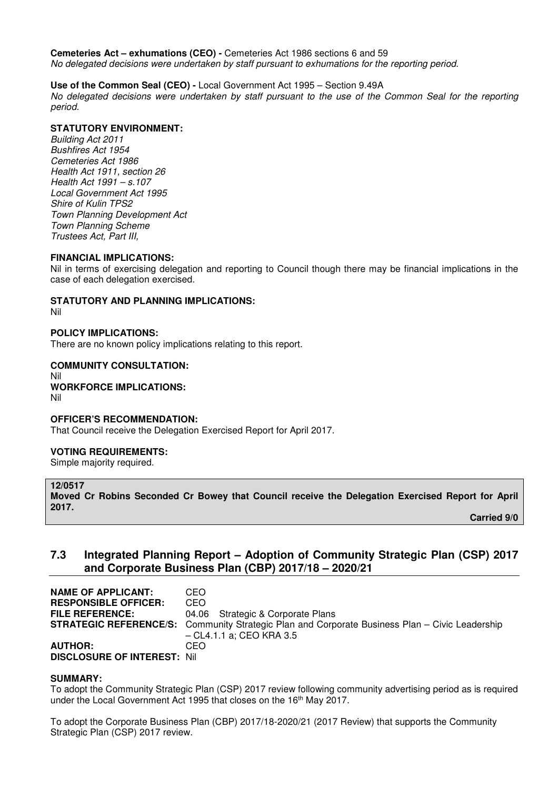**Cemeteries Act – exhumations (CEO) -** Cemeteries Act 1986 sections 6 and 59

*No delegated decisions were undertaken by staff pursuant to exhumations for the reporting period.* 

## **Use of the Common Seal (CEO) -** Local Government Act 1995 – Section 9.49A

*No delegated decisions were undertaken by staff pursuant to the use of the Common Seal for the reporting period.* 

## **STATUTORY ENVIRONMENT:**

*Building Act 2011 Bushfires Act 1954 Cemeteries Act 1986 Health Act 1911, section 26 Health Act 1991 – s.107 Local Government Act 1995 Shire of Kulin TPS2 Town Planning Development Act Town Planning Scheme Trustees Act, Part III,*

## **FINANCIAL IMPLICATIONS:**

Nil in terms of exercising delegation and reporting to Council though there may be financial implications in the case of each delegation exercised.

## **STATUTORY AND PLANNING IMPLICATIONS:**

Nil

## **POLICY IMPLICATIONS:**

There are no known policy implications relating to this report.

## **COMMUNITY CONSULTATION:**  Nil **WORKFORCE IMPLICATIONS:**

Nil

## **OFFICER'S RECOMMENDATION:**

That Council receive the Delegation Exercised Report for April 2017.

## **VOTING REQUIREMENTS:**

Simple majority required.

#### **12/0517**

**Moved Cr Robins Seconded Cr Bowey that Council receive the Delegation Exercised Report for April 2017.** 

 **Carried 9/0** 

# **7.3 Integrated Planning Report – Adoption of Community Strategic Plan (CSP) 2017 and Corporate Business Plan (CBP) 2017/18 – 2020/21**

**NAME OF APPLICANT:** CEO **RESPONSIBLE OFFICER:** CEO **FILE REFERENCE:** 04.06 Strategic & Corporate Plans **STRATEGIC REFERENCE/S:** Community Strategic Plan and Corporate Business Plan – Civic Leadership – CL4.1.1 a; CEO KRA 3.5 **AUTHOR:** CEO **DISCLOSURE OF INTEREST:** Nil

## **SUMMARY:**

To adopt the Community Strategic Plan (CSP) 2017 review following community advertising period as is required under the Local Government Act 1995 that closes on the 16<sup>th</sup> May 2017.

To adopt the Corporate Business Plan (CBP) 2017/18-2020/21 (2017 Review) that supports the Community Strategic Plan (CSP) 2017 review.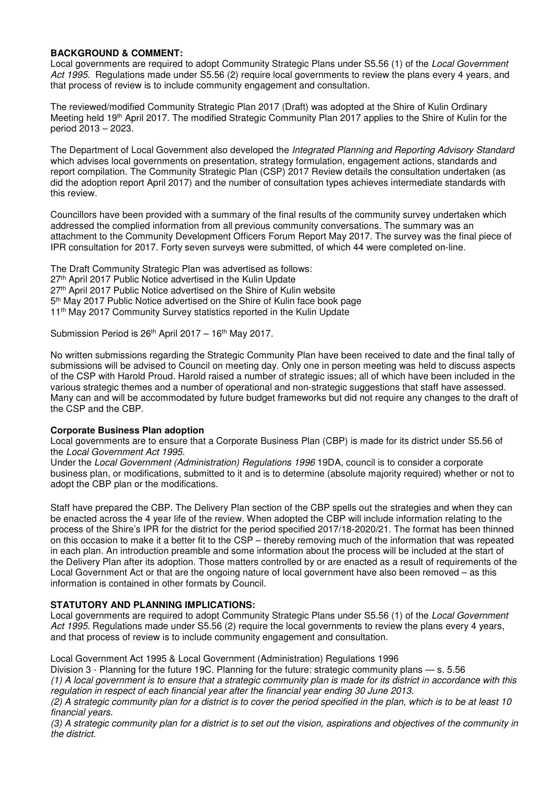## **BACKGROUND & COMMENT:**

Local governments are required to adopt Community Strategic Plans under S5.56 (1) of the *Local Government Act 1995*. Regulations made under S5.56 (2) require local governments to review the plans every 4 years, and that process of review is to include community engagement and consultation.

The reviewed/modified Community Strategic Plan 2017 (Draft) was adopted at the Shire of Kulin Ordinary Meeting held 19th April 2017. The modified Strategic Community Plan 2017 applies to the Shire of Kulin for the period 2013 – 2023.

The Department of Local Government also developed the *Integrated Planning and Reporting Advisory Standard* which advises local governments on presentation, strategy formulation, engagement actions, standards and report compilation. The Community Strategic Plan (CSP) 2017 Review details the consultation undertaken (as did the adoption report April 2017) and the number of consultation types achieves intermediate standards with this review.

Councillors have been provided with a summary of the final results of the community survey undertaken which addressed the complied information from all previous community conversations. The summary was an attachment to the Community Development Officers Forum Report May 2017. The survey was the final piece of IPR consultation for 2017. Forty seven surveys were submitted, of which 44 were completed on-line.

The Draft Community Strategic Plan was advertised as follows: 27th April 2017 Public Notice advertised in the Kulin Update 27<sup>th</sup> April 2017 Public Notice advertised on the Shire of Kulin website 5 th May 2017 Public Notice advertised on the Shire of Kulin face book page 11<sup>th</sup> May 2017 Community Survey statistics reported in the Kulin Update

Submission Period is  $26<sup>th</sup>$  April 2017 – 16<sup>th</sup> May 2017.

No written submissions regarding the Strategic Community Plan have been received to date and the final tally of submissions will be advised to Council on meeting day. Only one in person meeting was held to discuss aspects of the CSP with Harold Proud. Harold raised a number of strategic issues; all of which have been included in the various strategic themes and a number of operational and non-strategic suggestions that staff have assessed. Many can and will be accommodated by future budget frameworks but did not require any changes to the draft of the CSP and the CBP.

## **Corporate Business Plan adoption**

Local governments are to ensure that a Corporate Business Plan (CBP) is made for its district under S5.56 of the *Local Government Act 1995*.

Under the *Local Government (Administration) Regulations 1996* 19DA, council is to consider a corporate business plan, or modifications, submitted to it and is to determine (absolute majority required) whether or not to adopt the CBP plan or the modifications.

Staff have prepared the CBP. The Delivery Plan section of the CBP spells out the strategies and when they can be enacted across the 4 year life of the review. When adopted the CBP will include information relating to the process of the Shire's IPR for the district for the period specified 2017/18-2020/21. The format has been thinned on this occasion to make it a better fit to the CSP – thereby removing much of the information that was repeated in each plan. An introduction preamble and some information about the process will be included at the start of the Delivery Plan after its adoption. Those matters controlled by or are enacted as a result of requirements of the Local Government Act or that are the ongoing nature of local government have also been removed – as this information is contained in other formats by Council.

## **STATUTORY AND PLANNING IMPLICATIONS:**

Local governments are required to adopt Community Strategic Plans under S5.56 (1) of the *Local Government Act 1995*. Regulations made under S5.56 (2) require the local governments to review the plans every 4 years, and that process of review is to include community engagement and consultation.

Local Government Act 1995 & Local Government (Administration) Regulations 1996

Division 3 - Planning for the future 19C. Planning for the future: strategic community plans — s. 5.56 *(1) A local government is to ensure that a strategic community plan is made for its district in accordance with this regulation in respect of each financial year after the financial year ending 30 June 2013.* 

*(2) A strategic community plan for a district is to cover the period specified in the plan, which is to be at least 10 financial years.* 

*(3) A strategic community plan for a district is to set out the vision, aspirations and objectives of the community in the district.*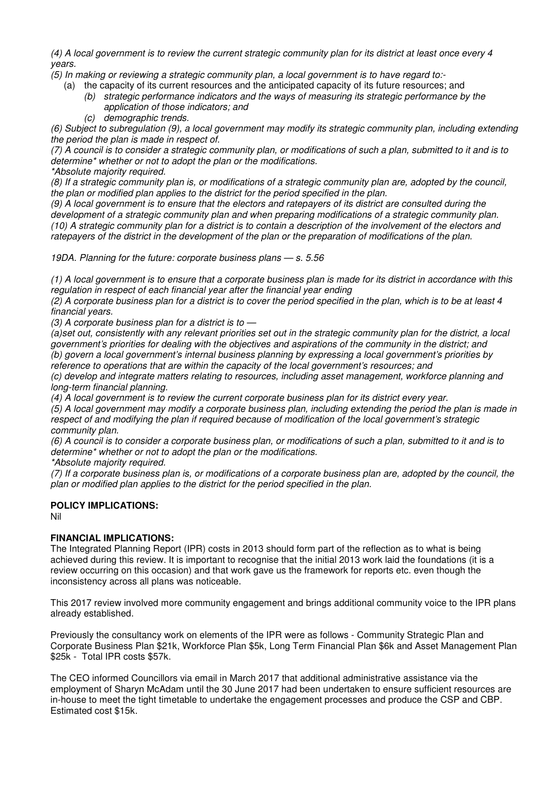*(4) A local government is to review the current strategic community plan for its district at least once every 4 years.* 

*(5) In making or reviewing a strategic community plan, a local government is to have regard to:-* 

- (a) the capacity of its current resources and the anticipated capacity of its future resources; and
	- *(b) strategic performance indicators and the ways of measuring its strategic performance by the application of those indicators; and*
	- *(c) demographic trends.*

*(6) Subject to subregulation (9), a local government may modify its strategic community plan, including extending the period the plan is made in respect of.* 

*(7) A council is to consider a strategic community plan, or modifications of such a plan, submitted to it and is to determine\* whether or not to adopt the plan or the modifications.* 

*\*Absolute majority required.* 

*(8) If a strategic community plan is, or modifications of a strategic community plan are, adopted by the council, the plan or modified plan applies to the district for the period specified in the plan.* 

*(9) A local government is to ensure that the electors and ratepayers of its district are consulted during the development of a strategic community plan and when preparing modifications of a strategic community plan. (10) A strategic community plan for a district is to contain a description of the involvement of the electors and ratepayers of the district in the development of the plan or the preparation of modifications of the plan.* 

*19DA. Planning for the future: corporate business plans — s. 5.56* 

*(1) A local government is to ensure that a corporate business plan is made for its district in accordance with this regulation in respect of each financial year after the financial year ending* 

*(2) A corporate business plan for a district is to cover the period specified in the plan, which is to be at least 4 financial years.* 

*(3) A corporate business plan for a district is to —* 

*(a)set out, consistently with any relevant priorities set out in the strategic community plan for the district, a local government's priorities for dealing with the objectives and aspirations of the community in the district; and (b) govern a local government's internal business planning by expressing a local government's priorities by reference to operations that are within the capacity of the local government's resources; and* 

*(c) develop and integrate matters relating to resources, including asset management, workforce planning and long-term financial planning.* 

*(4) A local government is to review the current corporate business plan for its district every year.* 

*(5) A local government may modify a corporate business plan, including extending the period the plan is made in respect of and modifying the plan if required because of modification of the local government's strategic community plan.* 

*(6) A council is to consider a corporate business plan, or modifications of such a plan, submitted to it and is to determine\* whether or not to adopt the plan or the modifications.* 

*\*Absolute majority required.* 

*(7) If a corporate business plan is, or modifications of a corporate business plan are, adopted by the council, the plan or modified plan applies to the district for the period specified in the plan.* 

## **POLICY IMPLICATIONS:**

Nil

## **FINANCIAL IMPLICATIONS:**

The Integrated Planning Report (IPR) costs in 2013 should form part of the reflection as to what is being achieved during this review. It is important to recognise that the initial 2013 work laid the foundations (it is a review occurring on this occasion) and that work gave us the framework for reports etc. even though the inconsistency across all plans was noticeable.

This 2017 review involved more community engagement and brings additional community voice to the IPR plans already established.

Previously the consultancy work on elements of the IPR were as follows - Community Strategic Plan and Corporate Business Plan \$21k, Workforce Plan \$5k, Long Term Financial Plan \$6k and Asset Management Plan \$25k - Total IPR costs \$57k.

The CEO informed Councillors via email in March 2017 that additional administrative assistance via the employment of Sharyn McAdam until the 30 June 2017 had been undertaken to ensure sufficient resources are in-house to meet the tight timetable to undertake the engagement processes and produce the CSP and CBP. Estimated cost \$15k.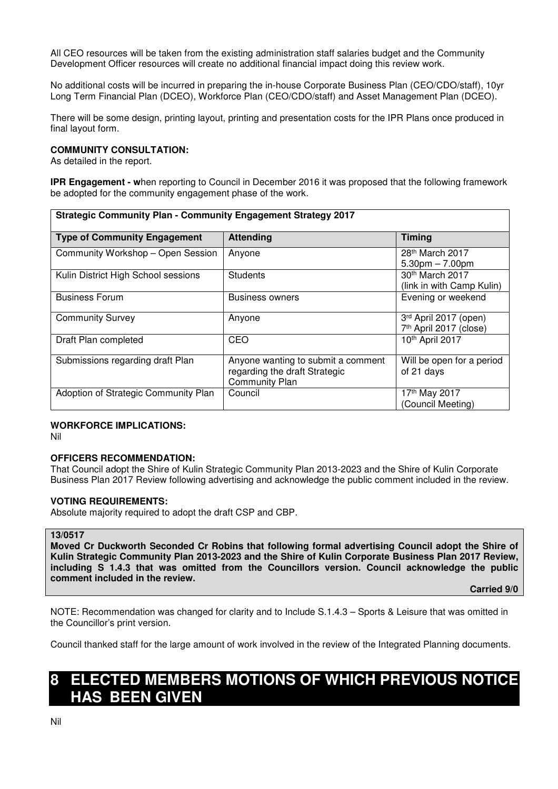All CEO resources will be taken from the existing administration staff salaries budget and the Community Development Officer resources will create no additional financial impact doing this review work.

No additional costs will be incurred in preparing the in-house Corporate Business Plan (CEO/CDO/staff), 10yr Long Term Financial Plan (DCEO), Workforce Plan (CEO/CDO/staff) and Asset Management Plan (DCEO).

There will be some design, printing layout, printing and presentation costs for the IPR Plans once produced in final layout form.

#### **COMMUNITY CONSULTATION:**

As detailed in the report.

**IPR Engagement - w**hen reporting to Council in December 2016 it was proposed that the following framework be adopted for the community engagement phase of the work.

| <b>Strategic Community Plan - Community Engagement Strategy 2017</b> |                                                                                              |                                                 |  |
|----------------------------------------------------------------------|----------------------------------------------------------------------------------------------|-------------------------------------------------|--|
| <b>Type of Community Engagement</b>                                  | <b>Attending</b>                                                                             | <b>Timing</b>                                   |  |
| Community Workshop - Open Session                                    | Anyone                                                                                       | 28th March 2017<br>$5.30pm - 7.00pm$            |  |
| Kulin District High School sessions                                  | <b>Students</b>                                                                              | 30th March 2017<br>(link in with Camp Kulin)    |  |
| <b>Business Forum</b>                                                | <b>Business owners</b>                                                                       | Evening or weekend                              |  |
| <b>Community Survey</b>                                              | Anyone                                                                                       | 3rd April 2017 (open)<br>7th April 2017 (close) |  |
| Draft Plan completed                                                 | CEO                                                                                          | 10th April 2017                                 |  |
| Submissions regarding draft Plan                                     | Anyone wanting to submit a comment<br>regarding the draft Strategic<br><b>Community Plan</b> | Will be open for a period<br>of 21 days         |  |
| Adoption of Strategic Community Plan                                 | Council                                                                                      | 17th May 2017<br>(Council Meeting)              |  |

## **WORKFORCE IMPLICATIONS:**

Nil

#### **OFFICERS RECOMMENDATION:**

That Council adopt the Shire of Kulin Strategic Community Plan 2013-2023 and the Shire of Kulin Corporate Business Plan 2017 Review following advertising and acknowledge the public comment included in the review.

#### **VOTING REQUIREMENTS:**

Absolute majority required to adopt the draft CSP and CBP.

#### **13/0517**

**Moved Cr Duckworth Seconded Cr Robins that following formal advertising Council adopt the Shire of Kulin Strategic Community Plan 2013-2023 and the Shire of Kulin Corporate Business Plan 2017 Review, including S 1.4.3 that was omitted from the Councillors version. Council acknowledge the public comment included in the review.** 

 **Carried 9/0** 

NOTE: Recommendation was changed for clarity and to Include S.1.4.3 – Sports & Leisure that was omitted in the Councillor's print version.

Council thanked staff for the large amount of work involved in the review of the Integrated Planning documents.

# **8 ELECTED MEMBERS MOTIONS OF WHICH PREVIOUS NOTICE HAS BEEN GIVEN**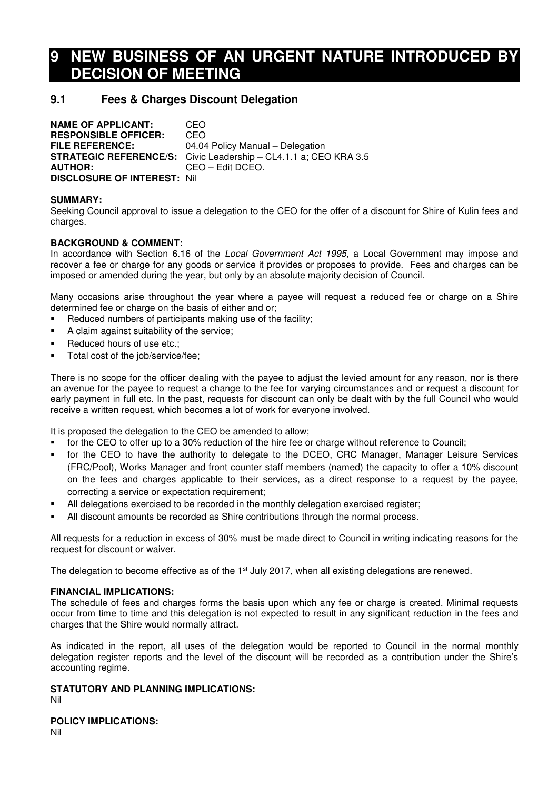# **9 NEW BUSINESS OF AN URGENT NATURE INTRODUCED BY DECISION OF MEETING**

# **9.1 Fees & Charges Discount Delegation**

**NAME OF APPLICANT:** CEO **RESPONSIBLE OFFICER:** CEO **FILE REFERENCE:** 04.04 Policy Manual – Delegation **STRATEGIC REFERENCE/S:** Civic Leadership – CL4.1.1 a; CEO KRA 3.5 **AUTHOR:** CEO – Edit DCEO. **DISCLOSURE OF INTEREST:** Nil

## **SUMMARY:**

Seeking Council approval to issue a delegation to the CEO for the offer of a discount for Shire of Kulin fees and charges.

## **BACKGROUND & COMMENT:**

In accordance with Section 6.16 of the *Local Government Act 1995*, a Local Government may impose and recover a fee or charge for any goods or service it provides or proposes to provide. Fees and charges can be imposed or amended during the year, but only by an absolute majority decision of Council.

Many occasions arise throughout the year where a payee will request a reduced fee or charge on a Shire determined fee or charge on the basis of either and or;

- Reduced numbers of participants making use of the facility;
- A claim against suitability of the service;
- Reduced hours of use etc.;
- Total cost of the job/service/fee;

There is no scope for the officer dealing with the payee to adjust the levied amount for any reason, nor is there an avenue for the payee to request a change to the fee for varying circumstances and or request a discount for early payment in full etc. In the past, requests for discount can only be dealt with by the full Council who would receive a written request, which becomes a lot of work for everyone involved.

It is proposed the delegation to the CEO be amended to allow;

- for the CEO to offer up to a 30% reduction of the hire fee or charge without reference to Council;
- for the CEO to have the authority to delegate to the DCEO, CRC Manager, Manager Leisure Services (FRC/Pool), Works Manager and front counter staff members (named) the capacity to offer a 10% discount on the fees and charges applicable to their services, as a direct response to a request by the payee, correcting a service or expectation requirement;
- All delegations exercised to be recorded in the monthly delegation exercised register;
- All discount amounts be recorded as Shire contributions through the normal process.

All requests for a reduction in excess of 30% must be made direct to Council in writing indicating reasons for the request for discount or waiver.

The delegation to become effective as of the 1<sup>st</sup> July 2017, when all existing delegations are renewed.

#### **FINANCIAL IMPLICATIONS:**

The schedule of fees and charges forms the basis upon which any fee or charge is created. Minimal requests occur from time to time and this delegation is not expected to result in any significant reduction in the fees and charges that the Shire would normally attract.

As indicated in the report, all uses of the delegation would be reported to Council in the normal monthly delegation register reports and the level of the discount will be recorded as a contribution under the Shire's accounting regime.

#### **STATUTORY AND PLANNING IMPLICATIONS:**

Nil

**POLICY IMPLICATIONS:**

Nil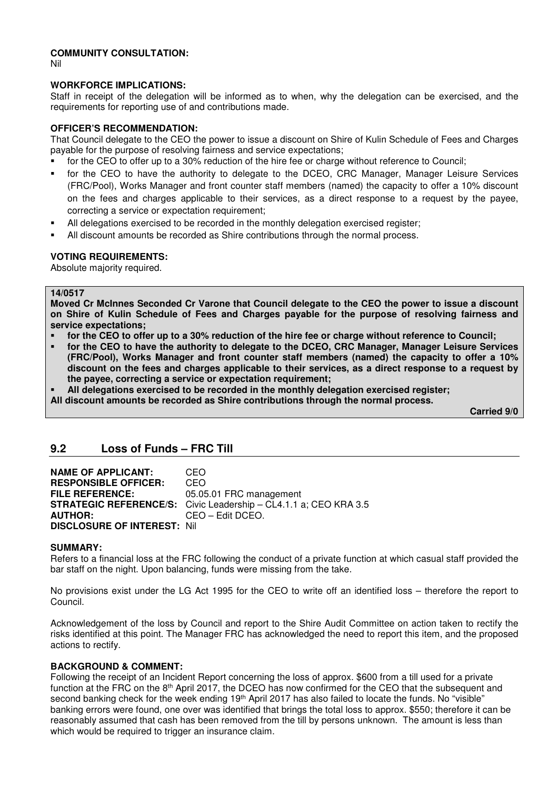#### **COMMUNITY CONSULTATION:**

Nil

#### **WORKFORCE IMPLICATIONS:**

Staff in receipt of the delegation will be informed as to when, why the delegation can be exercised, and the requirements for reporting use of and contributions made.

#### **OFFICER'S RECOMMENDATION:**

That Council delegate to the CEO the power to issue a discount on Shire of Kulin Schedule of Fees and Charges payable for the purpose of resolving fairness and service expectations;

- for the CEO to offer up to a 30% reduction of the hire fee or charge without reference to Council;
- for the CEO to have the authority to delegate to the DCEO, CRC Manager, Manager Leisure Services (FRC/Pool), Works Manager and front counter staff members (named) the capacity to offer a 10% discount on the fees and charges applicable to their services, as a direct response to a request by the payee, correcting a service or expectation requirement;
- All delegations exercised to be recorded in the monthly delegation exercised register;
- All discount amounts be recorded as Shire contributions through the normal process.

#### **VOTING REQUIREMENTS:**

Absolute majority required.

#### **14/0517**

**Moved Cr McInnes Seconded Cr Varone that Council delegate to the CEO the power to issue a discount on Shire of Kulin Schedule of Fees and Charges payable for the purpose of resolving fairness and service expectations;** 

- **for the CEO to offer up to a 30% reduction of the hire fee or charge without reference to Council;**
- **for the CEO to have the authority to delegate to the DCEO, CRC Manager, Manager Leisure Services (FRC/Pool), Works Manager and front counter staff members (named) the capacity to offer a 10% discount on the fees and charges applicable to their services, as a direct response to a request by the payee, correcting a service or expectation requirement;**
- **All delegations exercised to be recorded in the monthly delegation exercised register;**
- **All discount amounts be recorded as Shire contributions through the normal process.**

 **Carried 9/0** 

## **9.2 Loss of Funds – FRC Till**

| <b>NAME OF APPLICANT:</b>           | CEO                                                                     |
|-------------------------------------|-------------------------------------------------------------------------|
| <b>RESPONSIBLE OFFICER:</b>         | CEO                                                                     |
| <b>FILE REFERENCE:</b>              | 05.05.01 FRC management                                                 |
|                                     | <b>STRATEGIC REFERENCE/S:</b> Civic Leadership - CL4.1.1 a; CEO KRA 3.5 |
| <b>AUTHOR:</b>                      | CEO - Edit DCEO.                                                        |
| <b>DISCLOSURE OF INTEREST: Nill</b> |                                                                         |

#### **SUMMARY:**

Refers to a financial loss at the FRC following the conduct of a private function at which casual staff provided the bar staff on the night. Upon balancing, funds were missing from the take.

No provisions exist under the LG Act 1995 for the CEO to write off an identified loss – therefore the report to Council.

Acknowledgement of the loss by Council and report to the Shire Audit Committee on action taken to rectify the risks identified at this point. The Manager FRC has acknowledged the need to report this item, and the proposed actions to rectify.

## **BACKGROUND & COMMENT:**

Following the receipt of an Incident Report concerning the loss of approx. \$600 from a till used for a private function at the FRC on the 8th April 2017, the DCEO has now confirmed for the CEO that the subsequent and second banking check for the week ending 19<sup>th</sup> April 2017 has also failed to locate the funds. No "visible" banking errors were found, one over was identified that brings the total loss to approx. \$550; therefore it can be reasonably assumed that cash has been removed from the till by persons unknown. The amount is less than which would be required to trigger an insurance claim.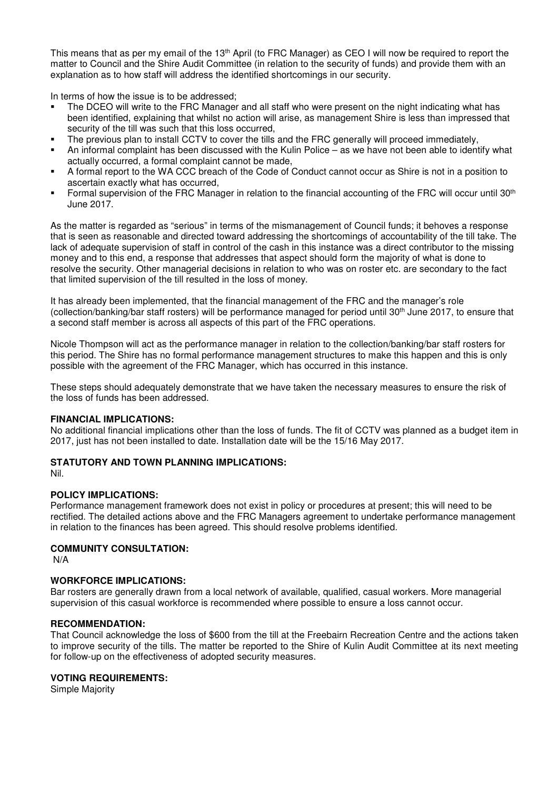This means that as per my email of the 13<sup>th</sup> April (to FRC Manager) as CEO I will now be required to report the matter to Council and the Shire Audit Committee (in relation to the security of funds) and provide them with an explanation as to how staff will address the identified shortcomings in our security.

In terms of how the issue is to be addressed;

- The DCEO will write to the FRC Manager and all staff who were present on the night indicating what has been identified, explaining that whilst no action will arise, as management Shire is less than impressed that security of the till was such that this loss occurred,
- The previous plan to install CCTV to cover the tills and the FRC generally will proceed immediately,
- An informal complaint has been discussed with the Kulin Police as we have not been able to identify what actually occurred, a formal complaint cannot be made,
- A formal report to the WA CCC breach of the Code of Conduct cannot occur as Shire is not in a position to ascertain exactly what has occurred,
- Formal supervision of the FRC Manager in relation to the financial accounting of the FRC will occur until 30<sup>th</sup> June 2017.

As the matter is regarded as "serious" in terms of the mismanagement of Council funds; it behoves a response that is seen as reasonable and directed toward addressing the shortcomings of accountability of the till take. The lack of adequate supervision of staff in control of the cash in this instance was a direct contributor to the missing money and to this end, a response that addresses that aspect should form the majority of what is done to resolve the security. Other managerial decisions in relation to who was on roster etc. are secondary to the fact that limited supervision of the till resulted in the loss of money.

It has already been implemented, that the financial management of the FRC and the manager's role (collection/banking/bar staff rosters) will be performance managed for period until 30th June 2017, to ensure that a second staff member is across all aspects of this part of the FRC operations.

Nicole Thompson will act as the performance manager in relation to the collection/banking/bar staff rosters for this period. The Shire has no formal performance management structures to make this happen and this is only possible with the agreement of the FRC Manager, which has occurred in this instance.

These steps should adequately demonstrate that we have taken the necessary measures to ensure the risk of the loss of funds has been addressed.

## **FINANCIAL IMPLICATIONS:**

No additional financial implications other than the loss of funds. The fit of CCTV was planned as a budget item in 2017, just has not been installed to date. Installation date will be the 15/16 May 2017.

## **STATUTORY AND TOWN PLANNING IMPLICATIONS:**

Nil.

## **POLICY IMPLICATIONS:**

Performance management framework does not exist in policy or procedures at present; this will need to be rectified. The detailed actions above and the FRC Managers agreement to undertake performance management in relation to the finances has been agreed. This should resolve problems identified.

## **COMMUNITY CONSULTATION:**

N/A

## **WORKFORCE IMPLICATIONS:**

Bar rosters are generally drawn from a local network of available, qualified, casual workers. More managerial supervision of this casual workforce is recommended where possible to ensure a loss cannot occur.

#### **RECOMMENDATION:**

That Council acknowledge the loss of \$600 from the till at the Freebairn Recreation Centre and the actions taken to improve security of the tills. The matter be reported to the Shire of Kulin Audit Committee at its next meeting for follow-up on the effectiveness of adopted security measures.

#### **VOTING REQUIREMENTS:**

Simple Majority